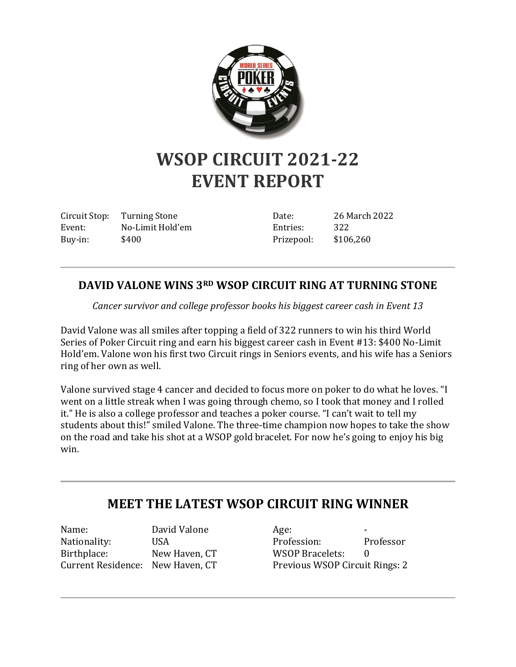

## **WSOP CIRCUIT 2021-22 EVENT REPORT**

Circuit Stop: Turning Stone Event: No-Limit Hold'em Buy-in: \$400

Date: 26 March 2022 Entries: 322 Prizepool: \$106,260

## **DAVID VALONE WINS 3RD WSOP CIRCUIT RING AT TURNING STONE**

*Cancer survivor and college professor books his biggest career cash in Event 13*

David Valone was all smiles after topping a field of 322 runners to win his third World Series of Poker Circuit ring and earn his biggest career cash in Event #13: \$400 No-Limit Hold'em. Valone won his first two Circuit rings in Seniors events, and his wife has a Seniors ring of her own as well.

Valone survived stage 4 cancer and decided to focus more on poker to do what he loves. "I went on a little streak when I was going through chemo, so I took that money and I rolled it." He is also a college professor and teaches a poker course. "I can't wait to tell my students about this!" smiled Valone. The three-time champion now hopes to take the show on the road and take his shot at a WSOP gold bracelet. For now he's going to enjoy his big win.

## **MEET THE LATEST WSOP CIRCUIT RING WINNER**

Name: David Valone Nationality: USA Birthplace: New Haven, CT Current Residence: New Haven, CT

 $Age:$ Profession: Professor WSOP Bracelets: 0 Previous WSOP Circuit Rings: 2